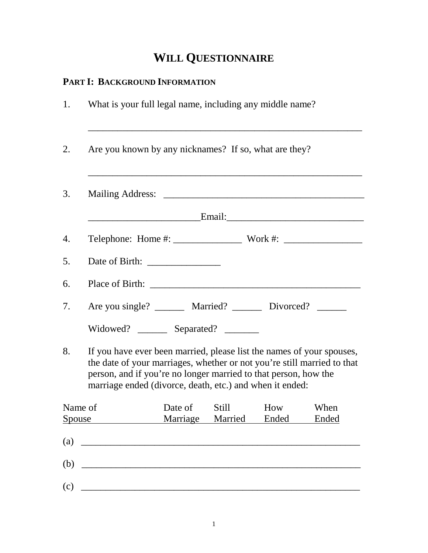# **WILL QUESTIONNAIRE**

## **PART I: BACKGROUND INFORMATION**

|         | Are you known by any nicknames? If so, what are they?                                                                                                                                                                                                                           |               |       |       |
|---------|---------------------------------------------------------------------------------------------------------------------------------------------------------------------------------------------------------------------------------------------------------------------------------|---------------|-------|-------|
|         |                                                                                                                                                                                                                                                                                 |               |       |       |
|         |                                                                                                                                                                                                                                                                                 |               |       |       |
|         |                                                                                                                                                                                                                                                                                 |               |       |       |
|         |                                                                                                                                                                                                                                                                                 |               |       |       |
|         |                                                                                                                                                                                                                                                                                 |               |       |       |
|         | Are you single? _________ Married? _________ Divorced? _______                                                                                                                                                                                                                  |               |       |       |
|         | Widowed? ________ Separated? _______                                                                                                                                                                                                                                            |               |       |       |
|         | If you have ever been married, please list the names of your spouses,<br>the date of your marriages, whether or not you're still married to that<br>person, and if you're no longer married to that person, how the<br>marriage ended (divorce, death, etc.) and when it ended: |               |       |       |
| Name of |                                                                                                                                                                                                                                                                                 | Date of Still | How   | When  |
|         | Spouse Marriage Married                                                                                                                                                                                                                                                         |               | Ended | Ended |
|         |                                                                                                                                                                                                                                                                                 |               |       |       |
|         |                                                                                                                                                                                                                                                                                 |               |       |       |
|         |                                                                                                                                                                                                                                                                                 |               |       |       |
|         |                                                                                                                                                                                                                                                                                 |               |       |       |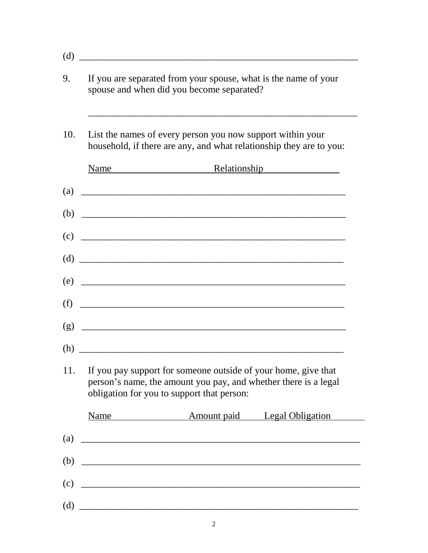| List the names of every person you now support within your<br>household, if there are any, and what relationship they are to you:<br>Name Relationship                          |  |
|---------------------------------------------------------------------------------------------------------------------------------------------------------------------------------|--|
|                                                                                                                                                                                 |  |
|                                                                                                                                                                                 |  |
|                                                                                                                                                                                 |  |
|                                                                                                                                                                                 |  |
|                                                                                                                                                                                 |  |
|                                                                                                                                                                                 |  |
|                                                                                                                                                                                 |  |
| If you pay support for someone outside of your home, give that<br>person's name, the amount you pay, and whether there is a legal<br>obligation for you to support that person: |  |
| Name Amount paid Legal Obligation                                                                                                                                               |  |
| <u> 1989 - Jan James James, martin amerikan basar dan berasal dalam berasal dalam basa dalam basa dalam berasal d</u>                                                           |  |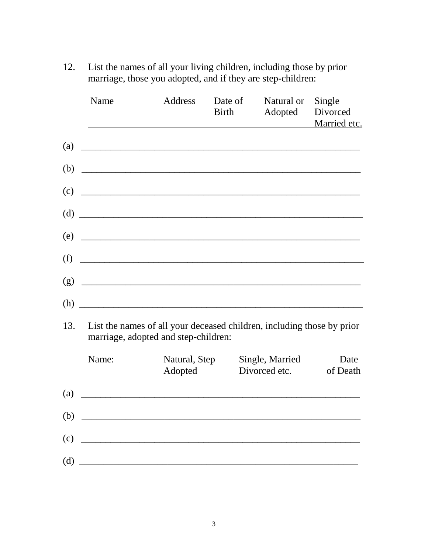| Name  | Address                                                                                                               | Date of<br><b>Birth</b> | Natural or<br>Adopted            | Single<br>Divorced<br>Married etc. |
|-------|-----------------------------------------------------------------------------------------------------------------------|-------------------------|----------------------------------|------------------------------------|
|       | <u> 1999 - Johann John Stone, market fra de francez eo ar gant e gant e gant e gant e gant e gant e gant e gant e</u> |                         |                                  |                                    |
|       |                                                                                                                       |                         |                                  |                                    |
|       |                                                                                                                       |                         |                                  |                                    |
|       |                                                                                                                       |                         |                                  |                                    |
|       |                                                                                                                       |                         |                                  |                                    |
|       |                                                                                                                       |                         |                                  |                                    |
|       |                                                                                                                       |                         |                                  |                                    |
|       | <u> 1989 - Johann Barbara, martxa alemaniar amerikan basar da da a shekara a shekara a shekara a shekara a shekar</u> |                         |                                  |                                    |
|       | List the names of all your deceased children, including those by prior<br>marriage, adopted and step-children:        |                         |                                  |                                    |
| Name: | Natural, Step<br>Adopted                                                                                              |                         | Single, Married<br>Divorced etc. | Date<br>of Death                   |
|       |                                                                                                                       |                         |                                  |                                    |
|       |                                                                                                                       |                         |                                  |                                    |
|       |                                                                                                                       |                         |                                  |                                    |
|       |                                                                                                                       |                         |                                  |                                    |
|       |                                                                                                                       |                         |                                  |                                    |

12. List the names of all your living children, including those by prior marriage, those you adopted, and if they are step-children: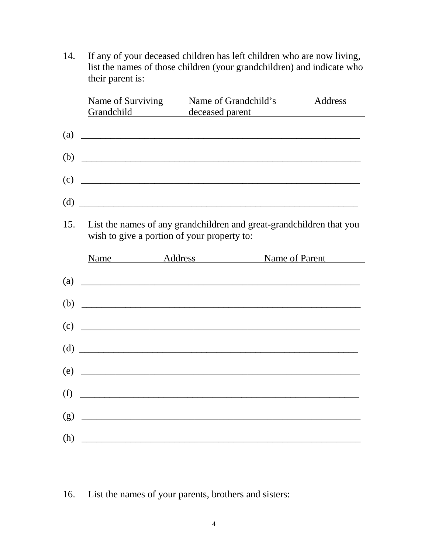14. If any of your deceased children has left children who are now living, list the names of those children (your grandchildren) and indicate who their parent is:

| Name of Surviving<br>Grandchild | Name of Grandchild's                                                                                                  | Address<br>deceased parent                                                                                           |
|---------------------------------|-----------------------------------------------------------------------------------------------------------------------|----------------------------------------------------------------------------------------------------------------------|
|                                 |                                                                                                                       | $\left( \text{a)} \right)$                                                                                           |
|                                 |                                                                                                                       |                                                                                                                      |
|                                 |                                                                                                                       | <u> 2000 - 2000 - 2000 - 2000 - 2000 - 2000 - 2000 - 2000 - 2000 - 2000 - 2000 - 2000 - 2000 - 2000 - 2000 - 200</u> |
|                                 |                                                                                                                       |                                                                                                                      |
|                                 | wish to give a portion of your property to:                                                                           | List the names of any grandchildren and great-grandchildren that you                                                 |
|                                 | Name Address                                                                                                          | Name of Parent                                                                                                       |
|                                 |                                                                                                                       | $\left( \text{a)} \right)$                                                                                           |
|                                 |                                                                                                                       |                                                                                                                      |
|                                 |                                                                                                                       |                                                                                                                      |
|                                 |                                                                                                                       |                                                                                                                      |
|                                 |                                                                                                                       |                                                                                                                      |
|                                 |                                                                                                                       |                                                                                                                      |
|                                 |                                                                                                                       |                                                                                                                      |
|                                 | <u> 1980 - Johann Barn, mars ann an t-Amhain an t-Amhain an t-Amhain an t-Amhain an t-Amhain an t-Amhain an t-Amh</u> |                                                                                                                      |
|                                 | <u> 1980 - Johann Stoff, amerikansk politik (* 1900)</u>                                                              |                                                                                                                      |

16. List the names of your parents, brothers and sisters: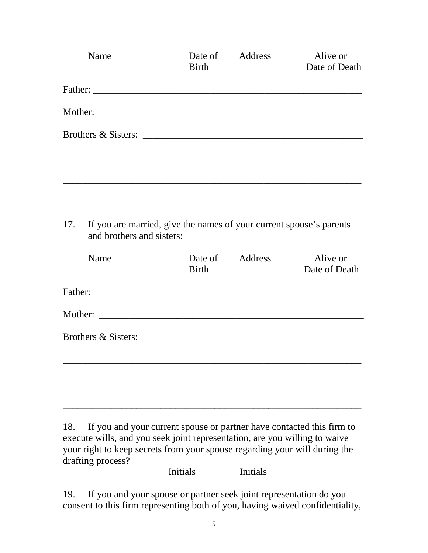|     | Name                      | Date of<br><b>Birth</b>                                             | Address                                   | Alive or<br>Date of Death |
|-----|---------------------------|---------------------------------------------------------------------|-------------------------------------------|---------------------------|
|     |                           |                                                                     |                                           |                           |
|     |                           |                                                                     |                                           |                           |
|     |                           | Brothers & Sisters:                                                 |                                           |                           |
|     |                           |                                                                     |                                           |                           |
|     |                           |                                                                     |                                           |                           |
| 17. | and brothers and sisters: | If you are married, give the names of your current spouse's parents |                                           |                           |
|     | Name                      |                                                                     | Date of Address<br>Birth <u>_________</u> | Alive or<br>Date of Death |
|     |                           |                                                                     |                                           |                           |
|     |                           |                                                                     |                                           |                           |
|     |                           |                                                                     |                                           |                           |
|     |                           |                                                                     |                                           |                           |
|     |                           |                                                                     |                                           |                           |
|     |                           |                                                                     |                                           |                           |

18. If you and your current spouse or partner have contacted this firm to execute wills, and you seek joint representation, are you willing to waive your right to keep secrets from your spouse regarding your will during the drafting process?

Initials\_\_\_\_\_\_\_\_ Initials\_\_\_\_\_\_\_\_

19. If you and your spouse or partner seek joint representation do you consent to this firm representing both of you, having waived confidentiality,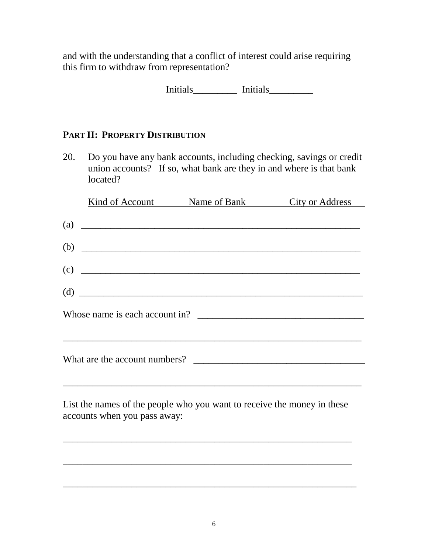and with the understanding that a conflict of interest could arise requiring this firm to withdraw from representation?

Initials\_\_\_\_\_\_\_\_\_ Initials\_\_\_\_\_\_\_\_\_

#### **PART II: PROPERTY DISTRIBUTION**

20. Do you have any bank accounts, including checking, savings or credit union accounts? If so, what bank are they in and where is that bank located?

|  |                                                                                                                                                             | <u>Kind of Account</u> Mame of Bank City or Address |
|--|-------------------------------------------------------------------------------------------------------------------------------------------------------------|-----------------------------------------------------|
|  | (a) $\qquad \qquad \qquad$                                                                                                                                  |                                                     |
|  | $\begin{array}{ccc} \text{(b)} & \text{---} & \end{array}$                                                                                                  |                                                     |
|  | (c)                                                                                                                                                         |                                                     |
|  |                                                                                                                                                             |                                                     |
|  |                                                                                                                                                             |                                                     |
|  | <u> 1980 - Jan James James James James James James James James James James James James James James James Jam</u>                                            |                                                     |
|  | ,我们也不会有什么。""我们的人,我们也不会有什么?""我们的人,我们也不会有什么?""我们的人,我们也不会有什么?""我们的人,我们也不会有什么?""我们的人<br>List the names of the people who you want to receive the money in these |                                                     |

accounts when you pass away:

\_\_\_\_\_\_\_\_\_\_\_\_\_\_\_\_\_\_\_\_\_\_\_\_\_\_\_\_\_\_\_\_\_\_\_\_\_\_\_\_\_\_\_\_\_\_\_\_\_\_\_\_\_\_\_\_\_\_\_

\_\_\_\_\_\_\_\_\_\_\_\_\_\_\_\_\_\_\_\_\_\_\_\_\_\_\_\_\_\_\_\_\_\_\_\_\_\_\_\_\_\_\_\_\_\_\_\_\_\_\_\_\_\_\_\_\_\_\_

\_\_\_\_\_\_\_\_\_\_\_\_\_\_\_\_\_\_\_\_\_\_\_\_\_\_\_\_\_\_\_\_\_\_\_\_\_\_\_\_\_\_\_\_\_\_\_\_\_\_\_\_\_\_\_\_\_\_\_\_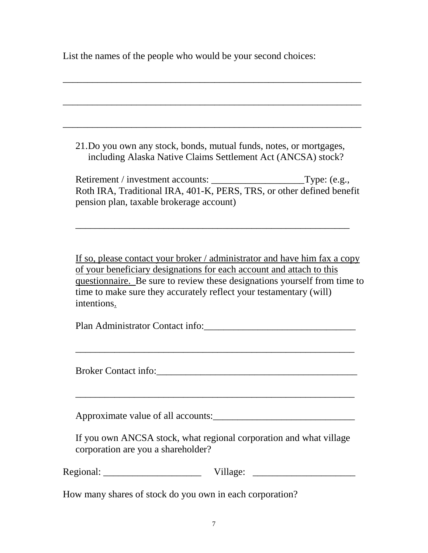List the names of the people who would be your second choices:

21.Do you own any stock, bonds, mutual funds, notes, or mortgages, including Alaska Native Claims Settlement Act (ANCSA) stock?

\_\_\_\_\_\_\_\_\_\_\_\_\_\_\_\_\_\_\_\_\_\_\_\_\_\_\_\_\_\_\_\_\_\_\_\_\_\_\_\_\_\_\_\_\_\_\_\_\_\_\_\_\_\_\_\_\_\_\_\_\_

\_\_\_\_\_\_\_\_\_\_\_\_\_\_\_\_\_\_\_\_\_\_\_\_\_\_\_\_\_\_\_\_\_\_\_\_\_\_\_\_\_\_\_\_\_\_\_\_\_\_\_\_\_\_\_\_\_\_\_\_\_

\_\_\_\_\_\_\_\_\_\_\_\_\_\_\_\_\_\_\_\_\_\_\_\_\_\_\_\_\_\_\_\_\_\_\_\_\_\_\_\_\_\_\_\_\_\_\_\_\_\_\_\_\_\_\_\_\_\_\_\_\_

Retirement / investment accounts: \_\_\_\_\_\_\_\_\_\_\_\_\_\_\_\_\_\_\_Type: (e.g., Roth IRA, Traditional IRA, 401-K, PERS, TRS, or other defined benefit pension plan, taxable brokerage account)

\_\_\_\_\_\_\_\_\_\_\_\_\_\_\_\_\_\_\_\_\_\_\_\_\_\_\_\_\_\_\_\_\_\_\_\_\_\_\_\_\_\_\_\_\_\_\_\_\_\_\_\_\_\_\_\_

If so, please contact your broker / administrator and have him fax a copy of your beneficiary designations for each account and attach to this questionnaire. Be sure to review these designations yourself from time to time to make sure they accurately reflect your testamentary (will) intentions.

\_\_\_\_\_\_\_\_\_\_\_\_\_\_\_\_\_\_\_\_\_\_\_\_\_\_\_\_\_\_\_\_\_\_\_\_\_\_\_\_\_\_\_\_\_\_\_\_\_\_\_\_\_\_\_\_\_

\_\_\_\_\_\_\_\_\_\_\_\_\_\_\_\_\_\_\_\_\_\_\_\_\_\_\_\_\_\_\_\_\_\_\_\_\_\_\_\_\_\_\_\_\_\_\_\_\_\_\_\_\_\_\_\_\_

Plan Administrator Contact info:\_\_\_\_\_\_\_\_\_\_\_\_\_\_\_\_\_\_\_\_\_\_\_\_\_\_\_\_\_\_\_

Broker Contact info:\_\_\_\_\_\_\_\_\_\_\_\_\_\_\_\_\_\_\_\_\_\_\_\_\_\_\_\_\_\_\_\_\_\_\_\_\_\_\_\_\_

Approximate value of all accounts:\_\_\_\_\_\_\_\_\_\_\_\_\_\_\_\_\_\_\_\_\_\_\_\_\_\_\_\_\_

If you own ANCSA stock, what regional corporation and what village corporation are you a shareholder?

| Regional: | - - - - - |
|-----------|-----------|
|-----------|-----------|

How many shares of stock do you own in each corporation?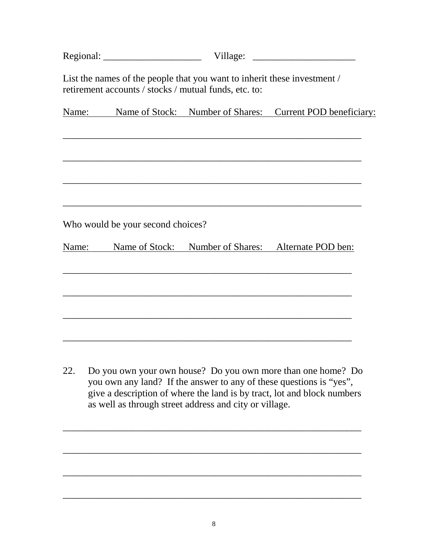|  | Regional: |  |  |
|--|-----------|--|--|
|--|-----------|--|--|

List the names of the people that you want to inherit these investment / retirement accounts / stocks / mutual funds, etc. to:

|  | Name: | Name of Stock: | Number of Shares: | Current POD beneficiary: |
|--|-------|----------------|-------------------|--------------------------|
|--|-------|----------------|-------------------|--------------------------|

\_\_\_\_\_\_\_\_\_\_\_\_\_\_\_\_\_\_\_\_\_\_\_\_\_\_\_\_\_\_\_\_\_\_\_\_\_\_\_\_\_\_\_\_\_\_\_\_\_\_\_\_\_\_\_\_\_\_\_\_\_

\_\_\_\_\_\_\_\_\_\_\_\_\_\_\_\_\_\_\_\_\_\_\_\_\_\_\_\_\_\_\_\_\_\_\_\_\_\_\_\_\_\_\_\_\_\_\_\_\_\_\_\_\_\_\_\_\_\_\_\_\_

\_\_\_\_\_\_\_\_\_\_\_\_\_\_\_\_\_\_\_\_\_\_\_\_\_\_\_\_\_\_\_\_\_\_\_\_\_\_\_\_\_\_\_\_\_\_\_\_\_\_\_\_\_\_\_\_\_\_\_\_\_

\_\_\_\_\_\_\_\_\_\_\_\_\_\_\_\_\_\_\_\_\_\_\_\_\_\_\_\_\_\_\_\_\_\_\_\_\_\_\_\_\_\_\_\_\_\_\_\_\_\_\_\_\_\_\_\_\_\_\_\_\_

Who would be your second choices?

Name: Name of Stock: Number of Shares: Alternate POD ben:

\_\_\_\_\_\_\_\_\_\_\_\_\_\_\_\_\_\_\_\_\_\_\_\_\_\_\_\_\_\_\_\_\_\_\_\_\_\_\_\_\_\_\_\_\_\_\_\_\_\_\_\_\_\_\_\_\_\_\_

\_\_\_\_\_\_\_\_\_\_\_\_\_\_\_\_\_\_\_\_\_\_\_\_\_\_\_\_\_\_\_\_\_\_\_\_\_\_\_\_\_\_\_\_\_\_\_\_\_\_\_\_\_\_\_\_\_\_\_

\_\_\_\_\_\_\_\_\_\_\_\_\_\_\_\_\_\_\_\_\_\_\_\_\_\_\_\_\_\_\_\_\_\_\_\_\_\_\_\_\_\_\_\_\_\_\_\_\_\_\_\_\_\_\_\_\_\_\_

\_\_\_\_\_\_\_\_\_\_\_\_\_\_\_\_\_\_\_\_\_\_\_\_\_\_\_\_\_\_\_\_\_\_\_\_\_\_\_\_\_\_\_\_\_\_\_\_\_\_\_\_\_\_\_\_\_\_\_

22. Do you own your own house? Do you own more than one home? Do you own any land? If the answer to any of these questions is "yes", give a description of where the land is by tract, lot and block numbers as well as through street address and city or village.

\_\_\_\_\_\_\_\_\_\_\_\_\_\_\_\_\_\_\_\_\_\_\_\_\_\_\_\_\_\_\_\_\_\_\_\_\_\_\_\_\_\_\_\_\_\_\_\_\_\_\_\_\_\_\_\_\_\_\_\_\_

\_\_\_\_\_\_\_\_\_\_\_\_\_\_\_\_\_\_\_\_\_\_\_\_\_\_\_\_\_\_\_\_\_\_\_\_\_\_\_\_\_\_\_\_\_\_\_\_\_\_\_\_\_\_\_\_\_\_\_\_\_

\_\_\_\_\_\_\_\_\_\_\_\_\_\_\_\_\_\_\_\_\_\_\_\_\_\_\_\_\_\_\_\_\_\_\_\_\_\_\_\_\_\_\_\_\_\_\_\_\_\_\_\_\_\_\_\_\_\_\_\_\_

\_\_\_\_\_\_\_\_\_\_\_\_\_\_\_\_\_\_\_\_\_\_\_\_\_\_\_\_\_\_\_\_\_\_\_\_\_\_\_\_\_\_\_\_\_\_\_\_\_\_\_\_\_\_\_\_\_\_\_\_\_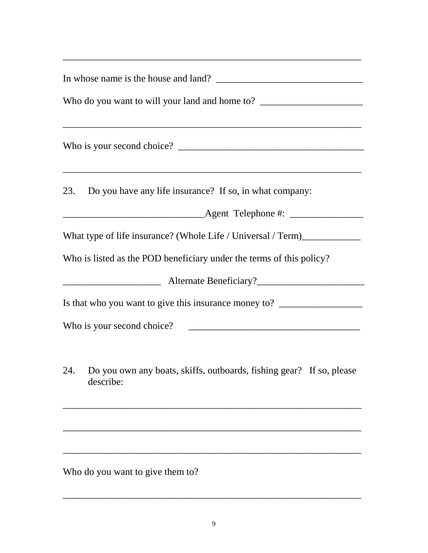| Who do you want to will your land and home to? __________________________________     |
|---------------------------------------------------------------------------------------|
|                                                                                       |
| 23. Do you have any life insurance? If so, in what company:                           |
|                                                                                       |
| What type of life insurance? (Whole Life / Universal / Term)____________              |
| Who is listed as the POD beneficiary under the terms of this policy?                  |
| Alternate Beneficiary?                                                                |
| Is that who you want to give this insurance money to? __________________________      |
| Who is your second choice?                                                            |
| 24. Do you own any boats, skiffs, outboards, fishing gear? If so, please<br>describe: |
|                                                                                       |
| Who do you want to give them to?                                                      |

\_\_\_\_\_\_\_\_\_\_\_\_\_\_\_\_\_\_\_\_\_\_\_\_\_\_\_\_\_\_\_\_\_\_\_\_\_\_\_\_\_\_\_\_\_\_\_\_\_\_\_\_\_\_\_\_\_\_\_\_\_

\_\_\_\_\_\_\_\_\_\_\_\_\_\_\_\_\_\_\_\_\_\_\_\_\_\_\_\_\_\_\_\_\_\_\_\_\_\_\_\_\_\_\_\_\_\_\_\_\_\_\_\_\_\_\_\_\_\_\_\_\_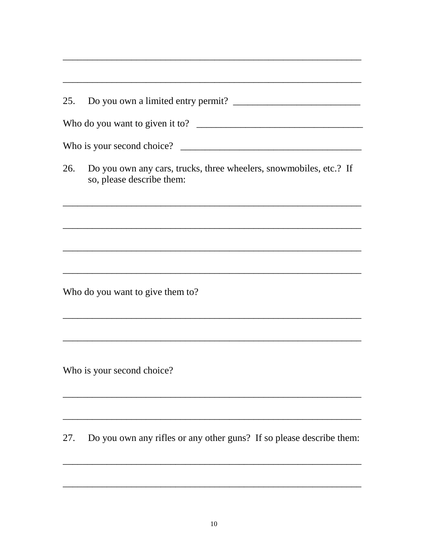| 25. |                                                                                                                       |
|-----|-----------------------------------------------------------------------------------------------------------------------|
|     |                                                                                                                       |
|     |                                                                                                                       |
|     | 26. Do you own any cars, trucks, three wheelers, snowmobiles, etc.? If<br>so, please describe them:                   |
|     |                                                                                                                       |
|     |                                                                                                                       |
|     |                                                                                                                       |
|     | ,我们也不能在这里,我们也不能会在这里,我们也不能会在这里,我们也不能会在这里,我们也不能会不能会不能会。""我们,我们也不能会不能会不能会不能会不能会不能会。"<br>Who do you want to give them to? |
|     |                                                                                                                       |
|     | Who is your second choice?                                                                                            |
|     |                                                                                                                       |

Do you own any rifles or any other guns? If so please describe them: 27.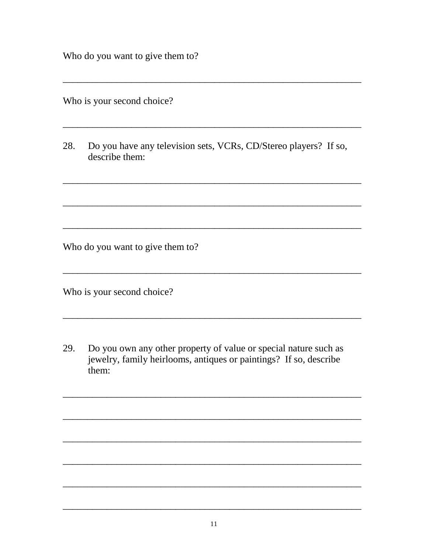Who do you want to give them to?

Who is your second choice?

Do you have any television sets, VCRs, CD/Stereo players? If so, 28. describe them:

Who do you want to give them to?

Who is your second choice?

Do you own any other property of value or special nature such as 29. jewelry, family heirlooms, antiques or paintings? If so, describe them: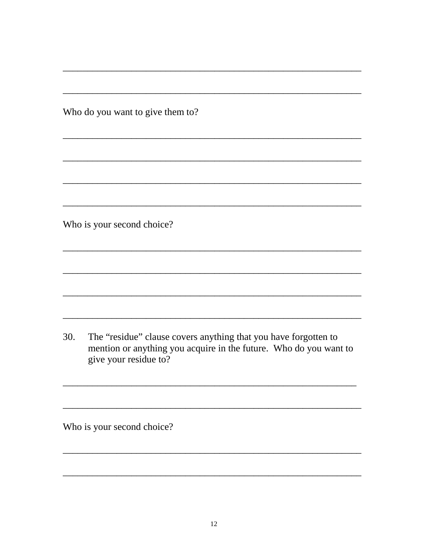|  | Who do you want to give them to? |  |  |
|--|----------------------------------|--|--|
|  |                                  |  |  |

Who is your second choice?

 $30.$ The "residue" clause covers anything that you have forgotten to mention or anything you acquire in the future. Who do you want to give your residue to?

Who is your second choice?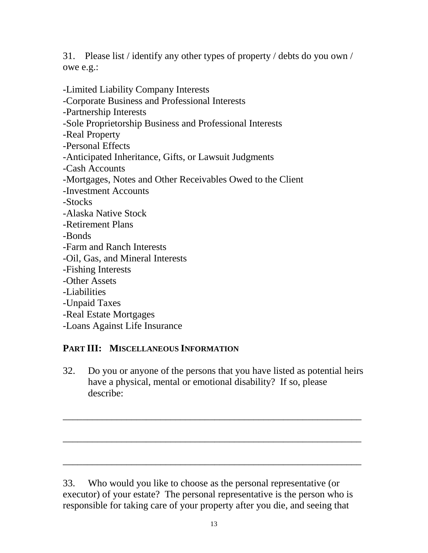31. Please list / identify any other types of property / debts do you own / owe e.g.:

-Limited Liability Company Interests -Corporate Business and Professional Interests -Partnership Interests -Sole Proprietorship Business and Professional Interests -Real Property -Personal Effects -Anticipated Inheritance, Gifts, or Lawsuit Judgments -Cash Accounts -Mortgages, Notes and Other Receivables Owed to the Client -Investment Accounts -Stocks -Alaska Native Stock -Retirement Plans -Bonds -Farm and Ranch Interests -Oil, Gas, and Mineral Interests -Fishing Interests -Other Assets -Liabilities -Unpaid Taxes -Real Estate Mortgages -Loans Against Life Insurance

### **PART III: MISCELLANEOUS INFORMATION**

32. Do you or anyone of the persons that you have listed as potential heirs have a physical, mental or emotional disability? If so, please describe:

\_\_\_\_\_\_\_\_\_\_\_\_\_\_\_\_\_\_\_\_\_\_\_\_\_\_\_\_\_\_\_\_\_\_\_\_\_\_\_\_\_\_\_\_\_\_\_\_\_\_\_\_\_\_\_\_\_\_\_\_\_

\_\_\_\_\_\_\_\_\_\_\_\_\_\_\_\_\_\_\_\_\_\_\_\_\_\_\_\_\_\_\_\_\_\_\_\_\_\_\_\_\_\_\_\_\_\_\_\_\_\_\_\_\_\_\_\_\_\_\_\_\_

\_\_\_\_\_\_\_\_\_\_\_\_\_\_\_\_\_\_\_\_\_\_\_\_\_\_\_\_\_\_\_\_\_\_\_\_\_\_\_\_\_\_\_\_\_\_\_\_\_\_\_\_\_\_\_\_\_\_\_\_\_

33. Who would you like to choose as the personal representative (or executor) of your estate? The personal representative is the person who is responsible for taking care of your property after you die, and seeing that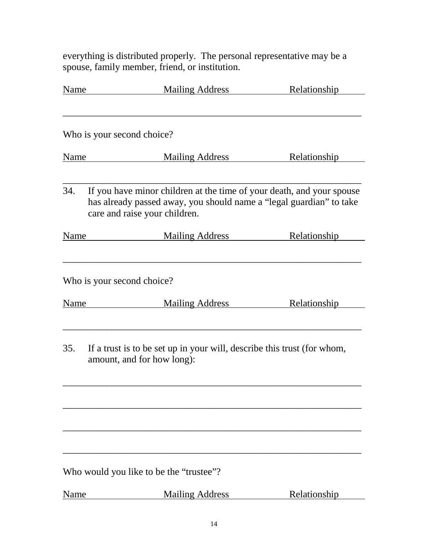everything is distributed properly. The personal representative may be a spouse, family member, friend, or institution.

| Name | <b>Mailing Address</b>                                                                                                                                                        | Relationship        |
|------|-------------------------------------------------------------------------------------------------------------------------------------------------------------------------------|---------------------|
|      | Who is your second choice?                                                                                                                                                    |                     |
| Name | <b>Mailing Address</b>                                                                                                                                                        | Relationship        |
| 34.  | If you have minor children at the time of your death, and your spouse<br>has already passed away, you should name a "legal guardian" to take<br>care and raise your children. |                     |
| Name | <b>Mailing Address</b>                                                                                                                                                        | <b>Relationship</b> |
|      | Who is your second choice?                                                                                                                                                    |                     |
| Name | <b>Mailing Address</b>                                                                                                                                                        | Relationship        |
| 35.  | If a trust is to be set up in your will, describe this trust (for whom,<br>amount, and for how long):                                                                         |                     |
|      |                                                                                                                                                                               |                     |
|      | Who would you like to be the "trustee"?                                                                                                                                       |                     |
| Name | <b>Mailing Address</b>                                                                                                                                                        | Relationship        |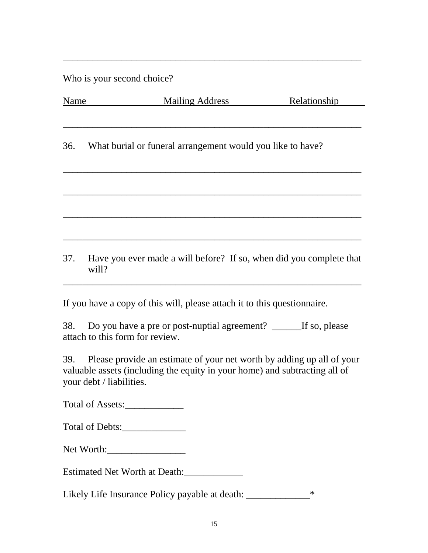Who is your second choice?

| <b>Mailing Address</b>                                     | Relationship                                                                         |
|------------------------------------------------------------|--------------------------------------------------------------------------------------|
| What burial or funeral arrangement would you like to have? |                                                                                      |
|                                                            |                                                                                      |
|                                                            |                                                                                      |
|                                                            | Name<br>Have you ever made a will before? If so, when did you complete that<br>will? |

\_\_\_\_\_\_\_\_\_\_\_\_\_\_\_\_\_\_\_\_\_\_\_\_\_\_\_\_\_\_\_\_\_\_\_\_\_\_\_\_\_\_\_\_\_\_\_\_\_\_\_\_\_\_\_\_\_\_\_\_\_

If you have a copy of this will, please attach it to this questionnaire.

38. Do you have a pre or post-nuptial agreement? \_\_\_\_\_\_If so, please attach to this form for review.

39. Please provide an estimate of your net worth by adding up all of your valuable assets (including the equity in your home) and subtracting all of your debt / liabilities.

Total of Assets:\_\_\_\_\_\_\_\_\_\_\_\_

| <b>Total of Debts:</b> |
|------------------------|
|------------------------|

| Net Worth: |  |
|------------|--|
|------------|--|

Estimated Net Worth at Death:

Likely Life Insurance Policy payable at death: \_\_\_\_\_\_\_\_\_\_\_\_\_\_\_\*